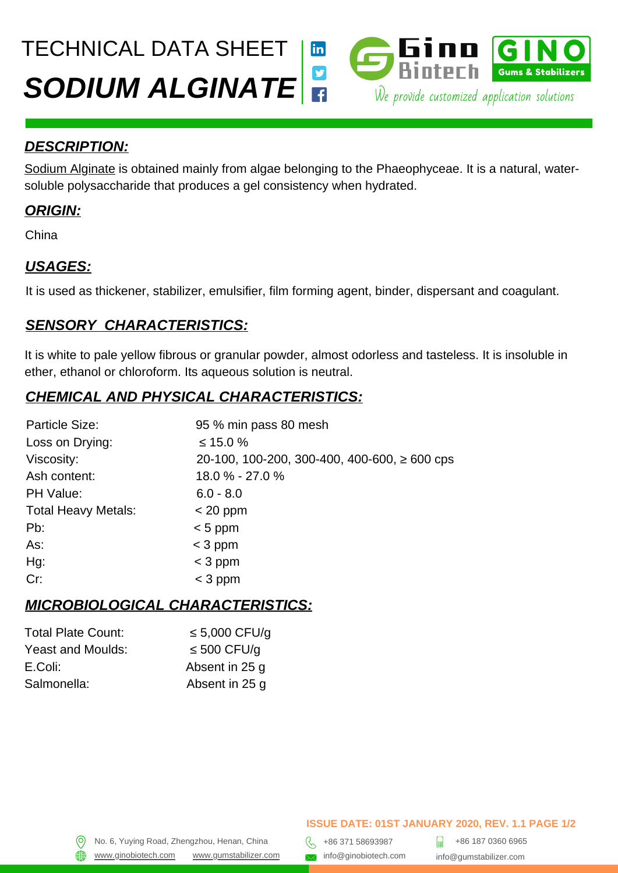# *SODIUM ALGINATE* We provide customized application solutions TECHNICAL DATA SHEET linl



[Sodium Alginate](https://gumstabilizer.com/products/alginates/) is obtained mainly from algae belonging to the Phaeophyceae. It is a natural, watersoluble polysaccharide that produces a gel consistency when hydrated.

### *ORIGIN:*

China

# *USAGES:*

It is used as thickener, stabilizer, emulsifier, film forming agent, binder, dispersant and coagulant.

### *SENSORY CHARACTERISTICS:*

It is white to pale yellow fibrous or granular powder, almost odorless and tasteless. It is insoluble in ether, ethanol or chloroform. Its aqueous solution is neutral.

# *CHEMICAL AND PHYSICAL CHARACTERISTICS:*

| Particle Size:             | 95 % min pass 80 mesh                             |
|----------------------------|---------------------------------------------------|
| Loss on Drying:            | $\leq 15.0 \%$                                    |
| Viscosity:                 | 20-100, 100-200, 300-400, 400-600, $\geq$ 600 cps |
| Ash content:               | 18.0 % - 27.0 %                                   |
| PH Value:                  | $6.0 - 8.0$                                       |
| <b>Total Heavy Metals:</b> | $<$ 20 ppm                                        |
| $Pb$ :                     | $< 5$ ppm                                         |
| As:                        | $<$ 3 ppm                                         |
| Hg:                        | $<$ 3 ppm                                         |
| Cr:                        | $<$ 3 ppm                                         |

### *MICROBIOLOGICAL CHARACTERISTICS:*

| <b>Total Plate Count:</b> | $\leq 5,000$ CFU/q |
|---------------------------|--------------------|
| Yeast and Moulds:         | $\leq 500$ CFU/g   |
| E.Coli:                   | Absent in 25 g     |
| Salmonella:               | Absent in 25 q     |

#### **ISSUE DATE: 01ST JANUARY 2020, REV. 1.1 PAGE 1/2**